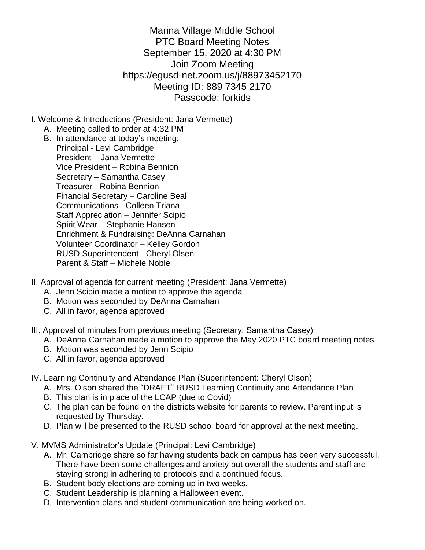Marina Village Middle School PTC Board Meeting Notes September 15, 2020 at 4:30 PM Join Zoom Meeting https://egusd-net.zoom.us/j/88973452170 Meeting ID: 889 7345 2170 Passcode: forkids

- I. Welcome & Introductions (President: Jana Vermette)
	- A. Meeting called to order at 4:32 PM
	- B. In attendance at today's meeting: Principal - Levi Cambridge President – Jana Vermette Vice President – Robina Bennion Secretary – Samantha Casey Treasurer - Robina Bennion Financial Secretary – Caroline Beal Communications - Colleen Triana Staff Appreciation – Jennifer Scipio Spirit Wear – Stephanie Hansen Enrichment & Fundraising: DeAnna Carnahan Volunteer Coordinator – Kelley Gordon RUSD Superintendent - Cheryl Olsen Parent & Staff – Michele Noble
- II. Approval of agenda for current meeting (President: Jana Vermette)
	- A. Jenn Scipio made a motion to approve the agenda
	- B. Motion was seconded by DeAnna Carnahan
	- C. All in favor, agenda approved
- III. Approval of minutes from previous meeting (Secretary: Samantha Casey)
	- A. DeAnna Carnahan made a motion to approve the May 2020 PTC board meeting notes
	- B. Motion was seconded by Jenn Scipio
	- C. All in favor, agenda approved
- IV. Learning Continuity and Attendance Plan (Superintendent: Cheryl Olson)
	- A. Mrs. Olson shared the "DRAFT" RUSD Learning Continuity and Attendance Plan
	- B. This plan is in place of the LCAP (due to Covid)
	- C. The plan can be found on the districts website for parents to review. Parent input is requested by Thursday.
	- D. Plan will be presented to the RUSD school board for approval at the next meeting.
- V. MVMS Administrator's Update (Principal: Levi Cambridge)
	- A. Mr. Cambridge share so far having students back on campus has been very successful. There have been some challenges and anxiety but overall the students and staff are staying strong in adhering to protocols and a continued focus.
	- B. Student body elections are coming up in two weeks.
	- C. Student Leadership is planning a Halloween event.
	- D. Intervention plans and student communication are being worked on.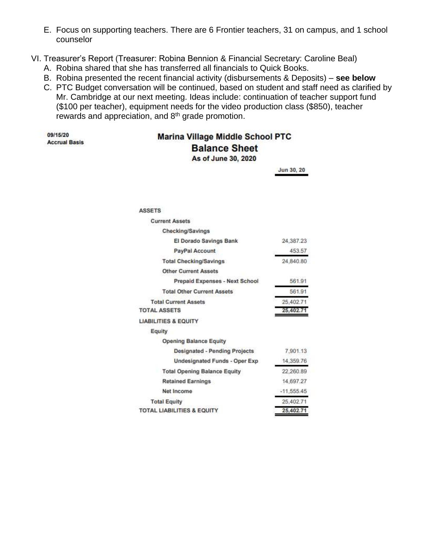- E. Focus on supporting teachers. There are 6 Frontier teachers, 31 on campus, and 1 school counselor
- VI. Treasurer's Report (Treasurer: Robina Bennion & Financial Secretary: Caroline Beal)
	- A. Robina shared that she has transferred all financials to Quick Books.
	- B. Robina presented the recent financial activity (disbursements & Deposits) **see below**
	- C. PTC Budget conversation will be continued, based on student and staff need as clarified by Mr. Cambridge at our next meeting. Ideas include: continuation of teacher support fund (\$100 per teacher), equipment needs for the video production class (\$850), teacher rewards and appreciation, and 8th grade promotion.

```
09/15/20
Accrual Basis
```
## **Marina Village Middle School PTC Balance Sheet**

As of June 30, 2020

Jun 30, 20

**ASSETS** 

| <b>Current Assets</b>                 |              |
|---------------------------------------|--------------|
| Checking/Savings                      |              |
| El Dorado Savings Bank                | 24,387.23    |
| PayPal Account                        | 453.57       |
| <b>Total Checking/Savings</b>         | 24,840.80    |
| <b>Other Current Assets</b>           |              |
| Prepaid Expenses - Next School        | 561.91       |
| <b>Total Other Current Assets</b>     | 561.91       |
| <b>Total Current Assets</b>           | 25.402.71    |
| <b>TOTAL ASSETS</b>                   | 25,402.71    |
| <b>LIABILITIES &amp; EQUITY</b>       |              |
| Equity                                |              |
| <b>Opening Balance Equity</b>         |              |
| <b>Designated - Pending Projects</b>  | 7,901.13     |
| <b>Undesignated Funds - Oper Exp</b>  | 14,359.76    |
| <b>Total Opening Balance Equity</b>   | 22,260.89    |
| <b>Retained Earnings</b>              | 14,697.27    |
| Net Income                            | $-11.555.45$ |
| <b>Total Equity</b>                   | 25,402.71    |
| <b>TOTAL LIABILITIES &amp; EQUITY</b> | 25,402.71    |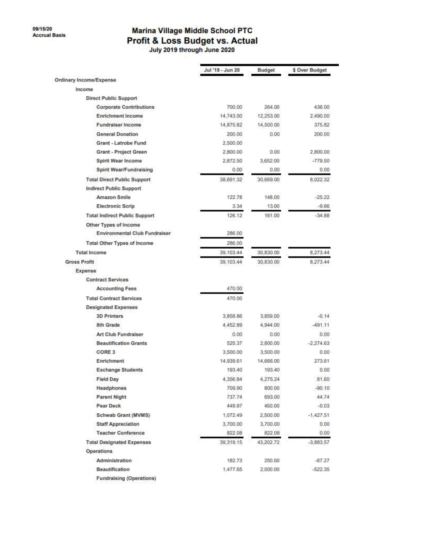# Marina Village Middle School PTC Profit & Loss Budget vs. Actual

|                                      | Jul '19 - Jun 20 | <b>Budget</b> | \$ Over Budget |
|--------------------------------------|------------------|---------------|----------------|
| Ordinary Income/Expense              |                  |               |                |
| Income                               |                  |               |                |
| <b>Direct Public Support</b>         |                  |               |                |
| <b>Corporate Contributions</b>       | 700.00           | 264.00        | 436.00         |
| <b>Enrichment Income</b>             | 14,743.00        | 12,253.00     | 2,490.00       |
| <b>Fundraiser Income</b>             | 14,875.82        | 14,500.00     | 375.82         |
| <b>General Donation</b>              | 200.00           | 0.00          | 200.00         |
| Grant - Latrobe Fund                 | 2,500.00         |               |                |
| Grant - Project Green                | 2,800.00         | 0.00          | 2,800.00       |
| Spirit Wear Income                   | 2,872.50         | 3,652.00      | $-779.50$      |
| <b>Spirit Wear/Fundraising</b>       | 0.00             | 0.00          | 0.00           |
| <b>Total Direct Public Support</b>   | 38,691.32        | 30,669.00     | 8,022.32       |
| Indirect Public Support              |                  |               |                |
| Amazon Smile                         | 122.78           | 148.00        | $-25.22$       |
| <b>Electronic Scrip</b>              | 3:34             | 13.00         | $-9.66$        |
| <b>Total Indirect Public Support</b> | 126.12           | 161.00        | $-34.88$       |
| Other Types of Income                |                  |               |                |
| <b>Environmental Club Fundraiser</b> | 286.00           |               |                |
| Total Other Types of Income          | 286.00           |               |                |
| <b>Total Income</b>                  | 39.103.44        | 30.830.00     | 8,273.44       |
| <b>Gross Profit</b>                  | 39, 103.44       | 30,830.00     | 8,273.44       |
| Expense                              |                  |               |                |
| <b>Contract Services</b>             |                  |               |                |
| <b>Accounting Fees</b>               | 470.00           |               |                |
| <b>Total Contract Services</b>       | 470.00           |               |                |
| <b>Designated Expenses</b>           |                  |               |                |
| <b>3D Printers</b>                   | 3,858.86         | 3,859.00      | $-0.14$        |
| 8th Grade                            | 4,452.89         | 4,944.00      | $-491.11$      |
| Art Club Fundraiser                  | 0.00             | 0.00          | 0.00           |
| <b>Beautification Grants</b>         | 525.37           | 2,800.00      | $-2.274.63$    |
| CORE 3                               | 3,500.00         | 3,500.00      | 0.00           |
| Enrichment                           | 14,939.61        | 14,666.00     | 273.61         |
| <b>Exchange Students</b>             | 193.40           | 193.40        | 0.00           |
| <b>Field Day</b>                     | 4,356.84         | 4,275.24      | 81.60          |
| Headphones                           | 709.90           | 800.00        | $-90.10$       |
| Parent Night                         | 737.74           | 693.00        | 44.74          |
| Pear Deck                            | 449.97           | 450.00        | $-0.03$        |
| Schwab Grant (MVMS)                  | 1.072.49         | 2,500.00      | $-1,427.51$    |
| <b>Staff Appreciation</b>            | 3,700.00         | 3,700.00      | 0.00           |
| <b>Teacher Conference</b>            | 822.08           | 822.08        | 0.00           |
| <b>Total Designated Expenses</b>     | 39,319.15        | 43,202.72     | $-3,883.57$    |
| <b>Operations</b>                    |                  |               |                |
| Administration                       | 182.73           | 250.00        | $-67.27$       |
| Beautification                       | 1,477.65         | 2,000.00      | $-522.35$      |
| <b>Fundraising (Operations)</b>      |                  |               |                |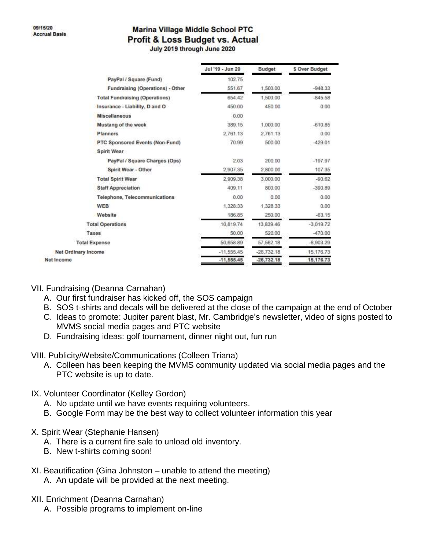### **Marina Village Middle School PTC Profit & Loss Budget vs. Actual**

July 2019 through June 2020

|                                       | Jul '19 - Jun 20 | Budget       | \$ Over Budget |
|---------------------------------------|------------------|--------------|----------------|
| PayPal / Square (Fund)                | 102.75           |              |                |
| Fundraising (Operations) - Other      | 551.67           | 1,500.00     | $-948.33$      |
| <b>Total Fundraising (Operations)</b> | 654.42           | 1,500.00     | $-845.58$      |
| Insurance - Liability, D and O        | 450.00           | 450.00       | 0.00           |
| <b>Miscellaneous</b>                  | 0.00             |              |                |
| Mustang of the week                   | 389.15           | 1,000.00     | $-610.85$      |
| <b>Planners</b>                       | 2.761.13         | 2.761.13     | 0.00           |
| PTC Sponsored Events (Non-Fund)       | 70.99            | 500.00       | $-429.01$      |
| Spirit Wear                           |                  |              |                |
| PayPal / Square Charges (Ops)         | 2.03             | 200.00       | $-197.97$      |
| Spirit Wear - Other                   | 2,907.35         | 2,800.00     | 107.35         |
| <b>Total Spirit Wear</b>              | 2,909.38         | 3,000.00     | $-90.62$       |
| <b>Staff Appreciation</b>             | 409.11           | 800.00       | $-390.89$      |
| Telephone, Telecommunications         | 0.00             | 0.00         | 0.00           |
| <b>WEB</b>                            | 1,328.33         | 1,328.33     | 0.00           |
| Website                               | 186.85           | 250.00       | $-63.15$       |
| <b>Total Operations</b>               | 10,819.74        | 13,839.46    | $-3,019.72$    |
| Taxes                                 | 50.00            | 520.00       | $-470.00$      |
| <b>Total Expense</b>                  | 50.658.89        | 57,562.18    | $-6.903.29$    |
| inary Income                          | $-11,555.45$     | $-26,732,18$ | 15, 176. 73    |
|                                       | $-11,555.45$     | $-26,732.18$ | 15,176.73      |

#### VII. Fundraising (Deanna Carnahan)

Net Ord Net Income

- A. Our first fundraiser has kicked off, the SOS campaign
- B. SOS t-shirts and decals will be delivered at the close of the campaign at the end of October
- C. Ideas to promote: Jupiter parent blast, Mr. Cambridge's newsletter, video of signs posted to MVMS social media pages and PTC website
- D. Fundraising ideas: golf tournament, dinner night out, fun run
- VIII. Publicity/Website/Communications (Colleen Triana)
	- A. Colleen has been keeping the MVMS community updated via social media pages and the PTC website is up to date.

### IX. Volunteer Coordinator (Kelley Gordon)

- A. No update until we have events requiring volunteers.
- B. Google Form may be the best way to collect volunteer information this year
- X. Spirit Wear (Stephanie Hansen)
	- A. There is a current fire sale to unload old inventory.
	- B. New t-shirts coming soon!
- XI. Beautification (Gina Johnston unable to attend the meeting)
	- A. An update will be provided at the next meeting.
- XII. Enrichment (Deanna Carnahan)
	- A. Possible programs to implement on-line